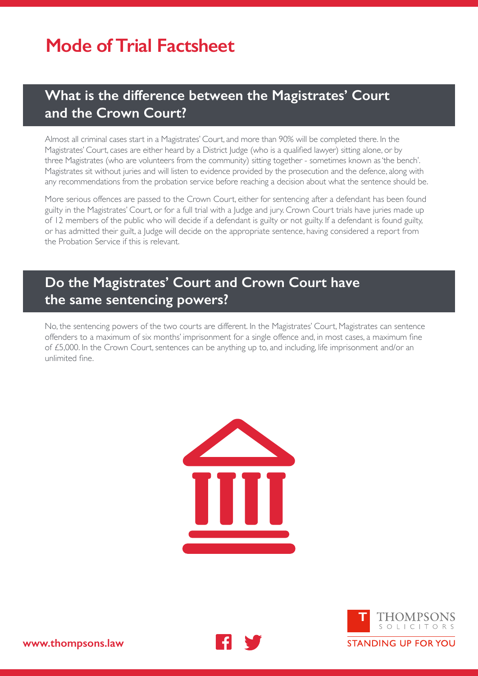## **Mode of Trial Factsheet**

### **What is the difference between the Magistrates' Court and the Crown Court?**

Almost all criminal cases start in a Magistrates' Court, and more than 90% will be completed there. In the Magistrates' Court, cases are either heard by a District Judge (who is a qualified lawyer) sitting alone, or by three Magistrates (who are volunteers from the community) sitting together - sometimes known as 'the bench'. Magistrates sit without juries and will listen to evidence provided by the prosecution and the defence, along with any recommendations from the probation service before reaching a decision about what the sentence should be.

More serious offences are passed to the Crown Court, either for sentencing after a defendant has been found guilty in the Magistrates' Court, or for a full trial with a Judge and jury. Crown Court trials have juries made up of 12 members of the public who will decide if a defendant is guilty or not guilty. If a defendant is found guilty, or has admitted their guilt, a Judge will decide on the appropriate sentence, having considered a report from the Probation Service if this is relevant.

## **Do the Magistrates' Court and Crown Court have the same sentencing powers?**

No, the sentencing powers of the two courts are different. In the Magistrates' Court, Magistrates can sentence offenders to a maximum of six months' imprisonment for a single offence and, in most cases, a maximum fine of £5,000. In the Crown Court, sentences can be anything up to, and including, life imprisonment and/or an unlimited fine.